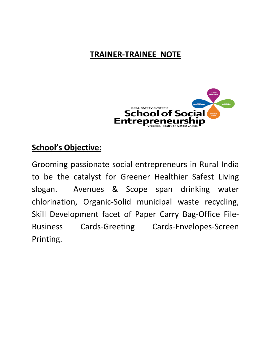## **TRAINER-TRAINEE NOTE**



#### **School's Objective:**

Grooming passionate social entrepreneurs in Rural India to be the catalyst for Greener Healthier Safest Living slogan. Avenues & Scope span drinking water chlorination, Organic-Solid municipal waste recycling, Skill Development facet of Paper Carry Bag-Office File-Business Cards-Greeting Cards-Envelopes-Screen Printing.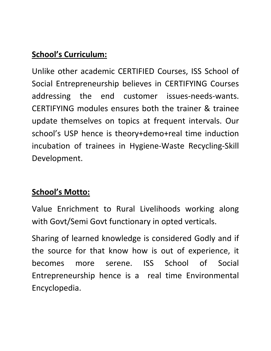## **School's Curriculum:**

Unlike other academic CERTIFIED Courses, ISS School of Social Entrepreneurship believes in CERTIFYING Courses addressing the end customer issues-needs-wants. CERTIFYING modules ensures both the trainer & trainee update themselves on topics at frequent intervals. Our school's USP hence is theory+demo+real time induction incubation of trainees in Hygiene-Waste Recycling-Skill Development.

### **School's Motto:**

Value Enrichment to Rural Livelihoods working along with Govt/Semi Govt functionary in opted verticals.

Sharing of learned knowledge is considered Godly and if the source for that know how is out of experience, it becomes more serene. ISS School of Social Entrepreneurship hence is a real time Environmental Encyclopedia.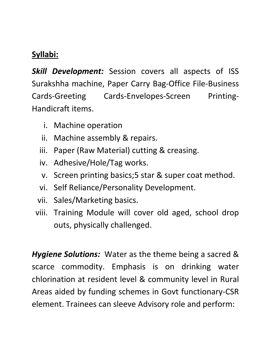# **Syllabi:**

*Skill Development:* Session covers all aspects of ISS Surakshha machine, Paper Carry Bag-Office File-Business Cards-Greeting Cards-Envelopes-Screen Printing-Handicraft items.

- i. Machine operation
- ii. Machine assembly & repairs.
- iii. Paper (Raw Material) cutting & creasing.
- iv. Adhesive/Hole/Tag works.
- v. Screen printing basics;5 star & super coat method.
- vi. Self Reliance/Personality Development.
- vii. Sales/Marketing basics.
- viii. Training Module will cover old aged, school drop outs, physically challenged.

*Hygiene Solutions:* Water as the theme being a sacred & scarce commodity. Emphasis is on drinking water chlorination at resident level & community level in Rural Areas aided by funding schemes in Govt functionary-CSR element. Trainees can sleeve Advisory role and perform: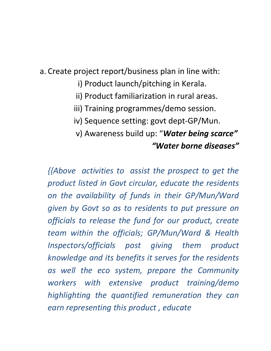a. Create project report/business plan in line with:

- i) Product launch/pitching in Kerala.
- ii) Product familiarization in rural areas.
- iii) Training programmes/demo session.
- iv) Sequence setting: govt dept-GP/Mun.
- v) Awareness build up: "*Water being scarce" "Water borne diseases"*

*{{Above activities to assist the prospect to get the product listed in Govt circular, educate the residents on the availability of funds in their GP/Mun/Ward given by Govt so as to residents to put pressure on officials to release the fund for our product, create team within the officials; GP/Mun/Ward & Health Inspectors/officials post giving them product knowledge and its benefits it serves for the residents as well the eco system, prepare the Community workers with extensive product training/demo highlighting the quantified remuneration they can earn representing this product , educate*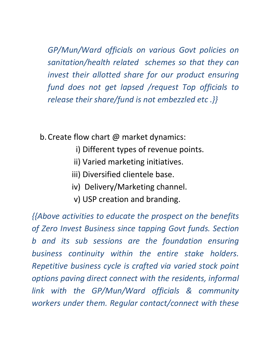*GP/Mun/Ward officials on various Govt policies on sanitation/health related schemes so that they can invest their allotted share for our product ensuring fund does not get lapsed /request Top officials to release their share/fund is not embezzled etc .}}* 

b.Create flow chart @ market dynamics:

- i) Different types of revenue points.
- ii) Varied marketing initiatives.
- iii) Diversified clientele base.
- iv) Delivery/Marketing channel.
- v) USP creation and branding.

*{{Above activities to educate the prospect on the benefits of Zero Invest Business since tapping Govt funds. Section b and its sub sessions are the foundation ensuring business continuity within the entire stake holders. Repetitive business cycle is crafted via varied stock point options paving direct connect with the residents, informal link with the GP/Mun/Ward officials & community workers under them. Regular contact/connect with these*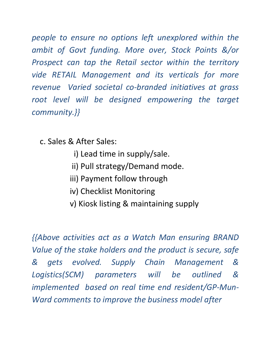*people to ensure no options left unexplored within the ambit of Govt funding. More over, Stock Points &/or Prospect can tap the Retail sector within the territory vide RETAIL Management and its verticals for more revenue Varied societal co-branded initiatives at grass*  root level will be designed empowering the target *community.}}* 

c. Sales & After Sales:

- i) Lead time in supply/sale.
- ii) Pull strategy/Demand mode.
- iii) Payment follow through
- iv) Checklist Monitoring
- v) Kiosk listing & maintaining supply

*{{Above activities act as a Watch Man ensuring BRAND Value of the stake holders and the product is secure, safe & gets evolved. Supply Chain Management & Logistics(SCM) parameters will be outlined & implemented based on real time end resident/GP-Mun-Ward comments to improve the business model after*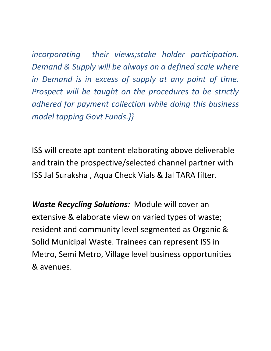*incorporating their views;stake holder participation. Demand & Supply will be always on a defined scale where in Demand is in excess of supply at any point of time. Prospect will be taught on the procedures to be strictly adhered for payment collection while doing this business model tapping Govt Funds.}}* 

ISS will create apt content elaborating above deliverable and train the prospective/selected channel partner with ISS Jal Suraksha , Aqua Check Vials & Jal TARA filter.

*Waste Recycling Solutions:* Module will cover an extensive & elaborate view on varied types of waste; resident and community level segmented as Organic & Solid Municipal Waste. Trainees can represent ISS in Metro, Semi Metro, Village level business opportunities & avenues.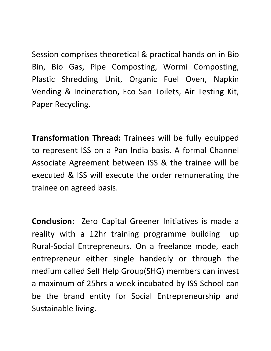Session comprises theoretical & practical hands on in Bio Bin, Bio Gas, Pipe Composting, Wormi Composting, Plastic Shredding Unit, Organic Fuel Oven, Napkin Vending & Incineration, Eco San Toilets, Air Testing Kit, Paper Recycling.

**Transformation Thread:** Trainees will be fully equipped to represent ISS on a Pan India basis. A formal Channel Associate Agreement between ISS & the trainee will be executed & ISS will execute the order remunerating the trainee on agreed basis.

**Conclusion:** Zero Capital Greener Initiatives is made a reality with a 12hr training programme building up Rural-Social Entrepreneurs. On a freelance mode, each entrepreneur either single handedly or through the medium called Self Help Group(SHG) members can invest a maximum of 25hrs a week incubated by ISS School can be the brand entity for Social Entrepreneurship and Sustainable living.